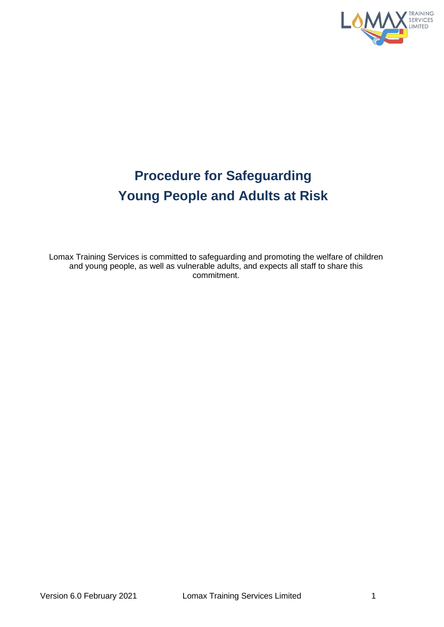

# **Procedure for Safeguarding Young People and Adults at Risk**

Lomax Training Services is committed to safeguarding and promoting the welfare of children and young people, as well as vulnerable adults, and expects all staff to share this commitment.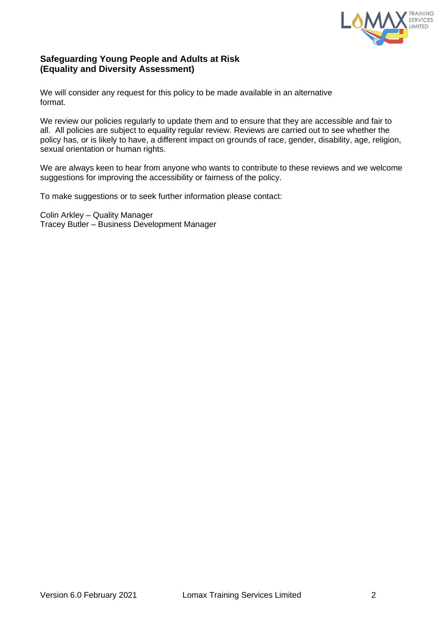

## **Safeguarding Young People and Adults at Risk (Equality and Diversity Assessment)**

We will consider any request for this policy to be made available in an alternative format.

We review our policies regularly to update them and to ensure that they are accessible and fair to all. All policies are subject to equality regular review. Reviews are carried out to see whether the policy has, or is likely to have, a different impact on grounds of race, gender, disability, age, religion, sexual orientation or human rights.

We are always keen to hear from anyone who wants to contribute to these reviews and we welcome suggestions for improving the accessibility or fairness of the policy.

To make suggestions or to seek further information please contact:

Colin Arkley – Quality Manager Tracey Butler – Business Development Manager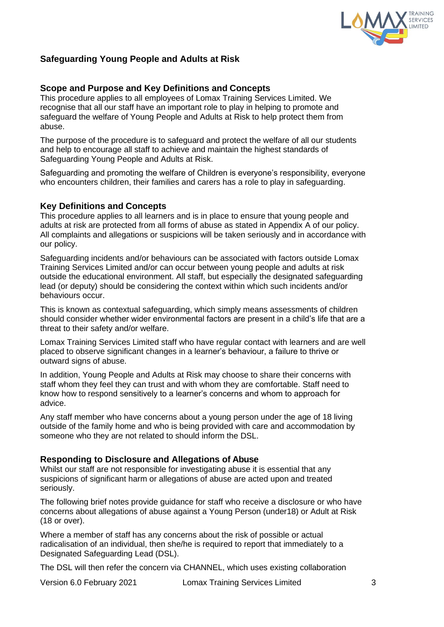

# **Safeguarding Young People and Adults at Risk**

## **Scope and Purpose and Key Definitions and Concepts**

This procedure applies to all employees of Lomax Training Services Limited. We recognise that all our staff have an important role to play in helping to promote and safeguard the welfare of Young People and Adults at Risk to help protect them from abuse.

The purpose of the procedure is to safeguard and protect the welfare of all our students and help to encourage all staff to achieve and maintain the highest standards of Safeguarding Young People and Adults at Risk.

Safeguarding and promoting the welfare of Children is everyone's responsibility, everyone who encounters children, their families and carers has a role to play in safeguarding.

## **Key Definitions and Concepts**

This procedure applies to all learners and is in place to ensure that young people and adults at risk are protected from all forms of abuse as stated in Appendix A of our policy. All complaints and allegations or suspicions will be taken seriously and in accordance with our policy.

Safeguarding incidents and/or behaviours can be associated with factors outside Lomax Training Services Limited and/or can occur between young people and adults at risk outside the educational environment. All staff, but especially the designated safeguarding lead (or deputy) should be considering the context within which such incidents and/or behaviours occur.

This is known as contextual safeguarding, which simply means assessments of children should consider whether wider environmental factors are present in a child's life that are a threat to their safety and/or welfare.

Lomax Training Services Limited staff who have regular contact with learners and are well placed to observe significant changes in a learner's behaviour, a failure to thrive or outward signs of abuse.

In addition, Young People and Adults at Risk may choose to share their concerns with staff whom they feel they can trust and with whom they are comfortable. Staff need to know how to respond sensitively to a learner's concerns and whom to approach for advice.

Any staff member who have concerns about a young person under the age of 18 living outside of the family home and who is being provided with care and accommodation by someone who they are not related to should inform the DSL.

## **Responding to Disclosure and Allegations of Abuse**

Whilst our staff are not responsible for investigating abuse it is essential that any suspicions of significant harm or allegations of abuse are acted upon and treated seriously.

The following brief notes provide guidance for staff who receive a disclosure or who have concerns about allegations of abuse against a Young Person (under18) or Adult at Risk (18 or over).

Where a member of staff has any concerns about the risk of possible or actual radicalisation of an individual, then she/he is required to report that immediately to a Designated Safeguarding Lead (DSL).

The DSL will then refer the concern via CHANNEL, which uses existing collaboration

Version 6.0 February 2021 Lomax Training Services Limited 3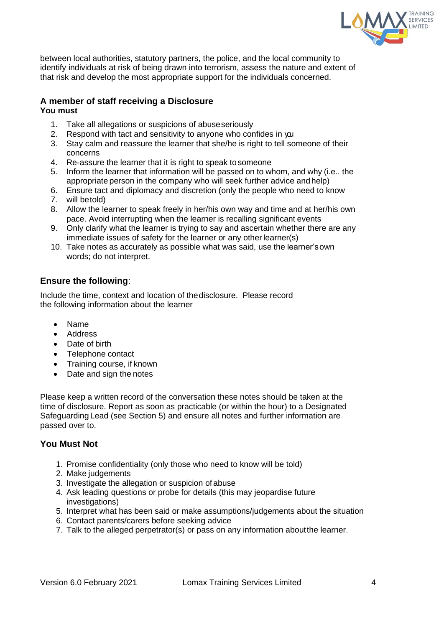

between local authorities, statutory partners, the police, and the local community to identify individuals at risk of being drawn into terrorism, assess the nature and extent of that risk and develop the most appropriate support for the individuals concerned.

# **A member of staff receiving a Disclosure**

**You must**

- 1. Take all allegations or suspicions of abuseseriously
- 2. Respond with tact and sensitivity to anyone who confides in you
- 3. Stay calm and reassure the learner that she/he is right to tell someone of their concerns
- 4. Re-assure the learner that it is right to speak tosomeone
- 5. Inform the learner that information will be passed on to whom, and why (i.e.. the appropriate person in the company who will seek further advice andhelp)
- 6. Ensure tact and diplomacy and discretion (only the people who need to know
- 7. will betold)
- 8. Allow the learner to speak freely in her/his own way and time and at her/his own pace. Avoid interrupting when the learner is recalling significant events
- 9. Only clarify what the learner is trying to say and ascertain whether there are any immediate issues of safety for the learner or any other learner(s)
- 10. Take notes as accurately as possible what was said, use the learner'sown words; do not interpret.

## **Ensure the following**:

Include the time, context and location of thedisclosure. Please record the following information about the learner

- Name
- Address
- Date of birth
- Telephone contact
- Training course, if known
- Date and sign the notes

Please keep a written record of the conversation these notes should be taken at the time of disclosure. Report as soon as practicable (or within the hour) to a Designated Safeguarding Lead (see Section 5) and ensure all notes and further information are passed over to.

## **You Must Not**

- 1. Promise confidentiality (only those who need to know will be told)
- 2. Make judgements
- 3. Investigate the allegation or suspicion of abuse
- 4. Ask leading questions or probe for details (this may jeopardise future investigations)
- 5. Interpret what has been said or make assumptions/judgements about the situation
- 6. Contact parents/carers before seeking advice
- 7. Talk to the alleged perpetrator(s) or pass on any information aboutthe learner.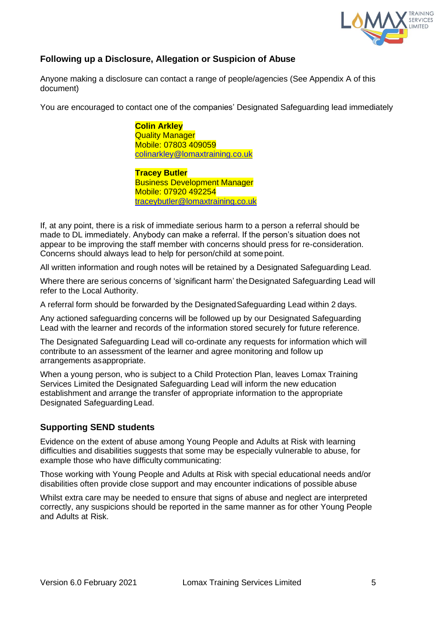

# **Following up a Disclosure, Allegation or Suspicion of Abuse**

Anyone making a disclosure can contact a range of people/agencies (See Appendix A of this document)

You are encouraged to contact one of the companies' Designated Safeguarding lead immediately

**Colin Arkley Quality Manager** Mobile: 07803 409059 [colinarkley@lomaxtraining.co.uk](mailto:colinarkley@lomaxtraining.co.uk)

**Tracey Butler** Business Development Manager Mobile: 07920 492254 [traceybutler@lomaxtraining.co.uk](mailto:traceybutler@lomaxtraining.co.uk)

If, at any point, there is a risk of immediate serious harm to a person a referral should be made to DL immediately. Anybody can make a referral. If the person's situation does not appear to be improving the staff member with concerns should press for re-consideration. Concerns should always lead to help for person/child at somepoint.

All written information and rough notes will be retained by a Designated Safeguarding Lead.

Where there are serious concerns of 'significant harm' the Designated Safeguarding Lead will refer to the Local Authority.

A referral form should be forwarded by the DesignatedSafeguarding Lead within 2 days.

Any actioned safeguarding concerns will be followed up by our Designated Safeguarding Lead with the learner and records of the information stored securely for future reference.

The Designated Safeguarding Lead will co-ordinate any requests for information which will contribute to an assessment of the learner and agree monitoring and follow up arrangements asappropriate.

When a young person, who is subject to a Child Protection Plan, leaves Lomax Training Services Limited the Designated Safeguarding Lead will inform the new education establishment and arrange the transfer of appropriate information to the appropriate Designated Safeguarding Lead.

## **Supporting SEND students**

Evidence on the extent of abuse among Young People and Adults at Risk with learning difficulties and disabilities suggests that some may be especially vulnerable to abuse, for example those who have difficulty communicating:

Those working with Young People and Adults at Risk with special educational needs and/or disabilities often provide close support and may encounter indications of possible abuse

Whilst extra care may be needed to ensure that signs of abuse and neglect are interpreted correctly, any suspicions should be reported in the same manner as for other Young People and Adults at Risk.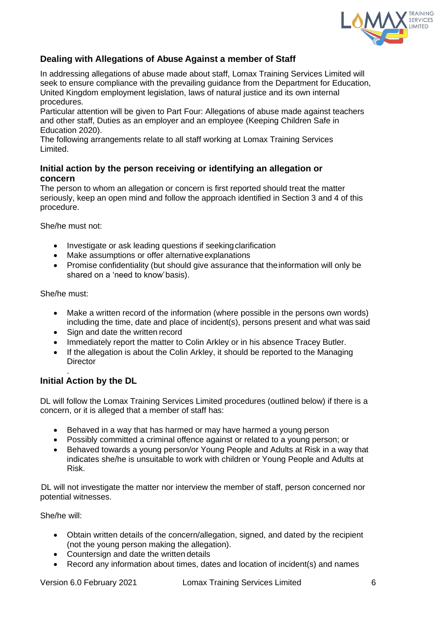

# **Dealing with Allegations of Abuse Against a member of Staff**

In addressing allegations of abuse made about staff, Lomax Training Services Limited will seek to ensure compliance with the prevailing guidance from the Department for Education, United Kingdom employment legislation, laws of natural justice and its own internal procedures.

Particular attention will be given to Part Four: Allegations of abuse made against teachers and other staff, Duties as an employer and an employee (Keeping Children Safe in Education 2020).

The following arrangements relate to all staff working at Lomax Training Services Limited.

# **Initial action by the person receiving or identifying an allegation or concern**

The person to whom an allegation or concern is first reported should treat the matter seriously, keep an open mind and follow the approach identified in Section 3 and 4 of this procedure.

She/he must not:

- Investigate or ask leading questions if seeking clarification
- Make assumptions or offer alternative explanations
- Promise confidentiality (but should give assurance that the information will only be shared on a 'need to know'basis).

She/he must:

- Make a written record of the information (where possible in the persons own words) including the time, date and place of incident(s), persons present and what was said
- Sign and date the written record
- Immediately report the matter to Colin Arkley or in his absence Tracey Butler.
- If the allegation is about the Colin Arkley, it should be reported to the Managing **Director**

#### . **Initial Action by the DL**

DL will follow the Lomax Training Services Limited procedures (outlined below) if there is a concern, or it is alleged that a member of staff has:

- Behaved in a way that has harmed or may have harmed a young person
- Possibly committed a criminal offence against or related to a young person; or
- Behaved towards a young person/or Young People and Adults at Risk in a way that indicates she/he is unsuitable to work with children or Young People and Adults at Risk.

DL will not investigate the matter nor interview the member of staff, person concerned nor potential witnesses.

She/he will:

- Obtain written details of the concern/allegation, signed, and dated by the recipient (not the young person making the allegation).
- Countersign and date the written details
- Record any information about times, dates and location of incident(s) and names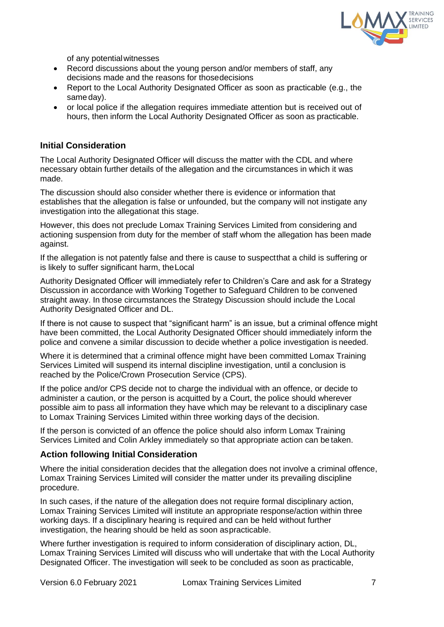

of any potentialwitnesses

- Record discussions about the young person and/or members of staff, any decisions made and the reasons for thosedecisions
- Report to the Local Authority Designated Officer as soon as practicable (e.g., the same day).
- or local police if the allegation requires immediate attention but is received out of hours, then inform the Local Authority Designated Officer as soon as practicable.

## **Initial Consideration**

The Local Authority Designated Officer will discuss the matter with the CDL and where necessary obtain further details of the allegation and the circumstances in which it was made.

The discussion should also consider whether there is evidence or information that establishes that the allegation is false or unfounded, but the company will not instigate any investigation into the allegationat this stage.

However, this does not preclude Lomax Training Services Limited from considering and actioning suspension from duty for the member of staff whom the allegation has been made against.

If the allegation is not patently false and there is cause to suspectthat a child is suffering or is likely to suffer significant harm, theLocal

Authority Designated Officer will immediately refer to Children's Care and ask for a Strategy Discussion in accordance with Working Together to Safeguard Children to be convened straight away. In those circumstances the Strategy Discussion should include the Local Authority Designated Officer and DL.

If there is not cause to suspect that "significant harm" is an issue, but a criminal offence might have been committed, the Local Authority Designated Officer should immediately inform the police and convene a similar discussion to decide whether a police investigation is needed.

Where it is determined that a criminal offence might have been committed Lomax Training Services Limited will suspend its internal discipline investigation, until a conclusion is reached by the Police/Crown Prosecution Service (CPS).

If the police and/or CPS decide not to charge the individual with an offence, or decide to administer a caution, or the person is acquitted by a Court, the police should wherever possible aim to pass all information they have which may be relevant to a disciplinary case to Lomax Training Services Limited within three working days of the decision.

If the person is convicted of an offence the police should also inform Lomax Training Services Limited and Colin Arkley immediately so that appropriate action can be taken.

## **Action following Initial Consideration**

Where the initial consideration decides that the allegation does not involve a criminal offence, Lomax Training Services Limited will consider the matter under its prevailing discipline procedure.

In such cases, if the nature of the allegation does not require formal disciplinary action, Lomax Training Services Limited will institute an appropriate response/action within three working days. If a disciplinary hearing is required and can be held without further investigation, the hearing should be held as soon aspracticable.

Where further investigation is required to inform consideration of disciplinary action, DL, Lomax Training Services Limited will discuss who will undertake that with the Local Authority Designated Officer. The investigation will seek to be concluded as soon as practicable,